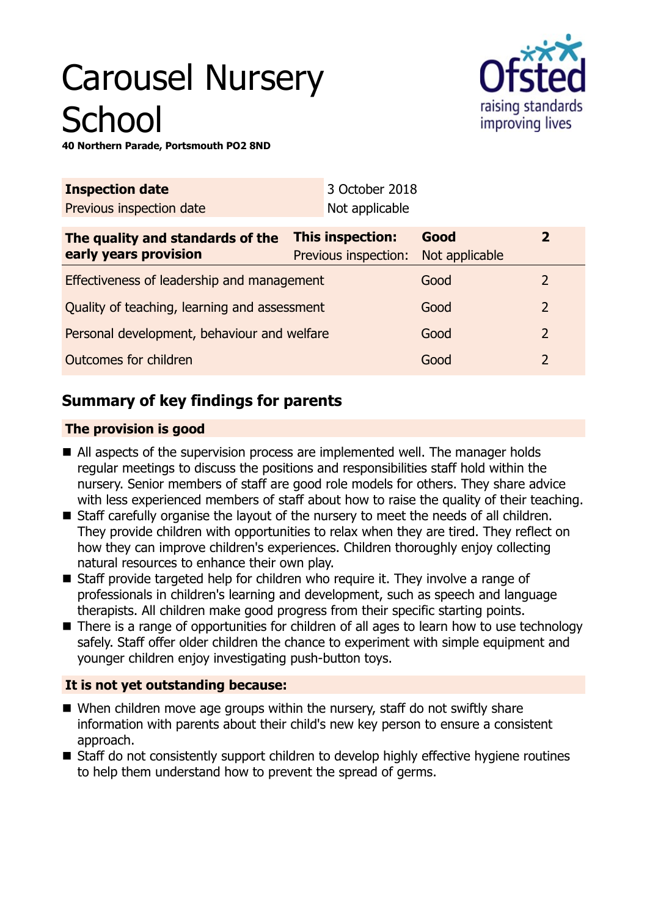# Carousel Nursery **School**



**40 Northern Parade, Portsmouth PO2 8ND**

| <b>Inspection date</b>                                    |                                          | 3 October 2018 |                        |                |  |
|-----------------------------------------------------------|------------------------------------------|----------------|------------------------|----------------|--|
| Previous inspection date                                  |                                          | Not applicable |                        |                |  |
| The quality and standards of the<br>early years provision | This inspection:<br>Previous inspection: |                | Good<br>Not applicable | $\mathbf{2}$   |  |
| Effectiveness of leadership and management                |                                          |                | Good                   | $\mathcal{L}$  |  |
| Quality of teaching, learning and assessment              |                                          |                | Good                   | $\overline{2}$ |  |
| Personal development, behaviour and welfare               |                                          |                | Good                   | $\overline{2}$ |  |
| Outcomes for children                                     |                                          |                | Good                   | 2              |  |
|                                                           |                                          |                |                        |                |  |

# **Summary of key findings for parents**

## **The provision is good**

- All aspects of the supervision process are implemented well. The manager holds regular meetings to discuss the positions and responsibilities staff hold within the nursery. Senior members of staff are good role models for others. They share advice with less experienced members of staff about how to raise the quality of their teaching.
- Staff carefully organise the layout of the nursery to meet the needs of all children. They provide children with opportunities to relax when they are tired. They reflect on how they can improve children's experiences. Children thoroughly enjoy collecting natural resources to enhance their own play.
- $\blacksquare$  Staff provide targeted help for children who require it. They involve a range of professionals in children's learning and development, such as speech and language therapists. All children make good progress from their specific starting points.
- $\blacksquare$  There is a range of opportunities for children of all ages to learn how to use technology safely. Staff offer older children the chance to experiment with simple equipment and younger children enjoy investigating push-button toys.

## **It is not yet outstanding because:**

- $\blacksquare$  When children move age groups within the nursery, staff do not swiftly share information with parents about their child's new key person to ensure a consistent approach.
- Staff do not consistently support children to develop highly effective hygiene routines to help them understand how to prevent the spread of germs.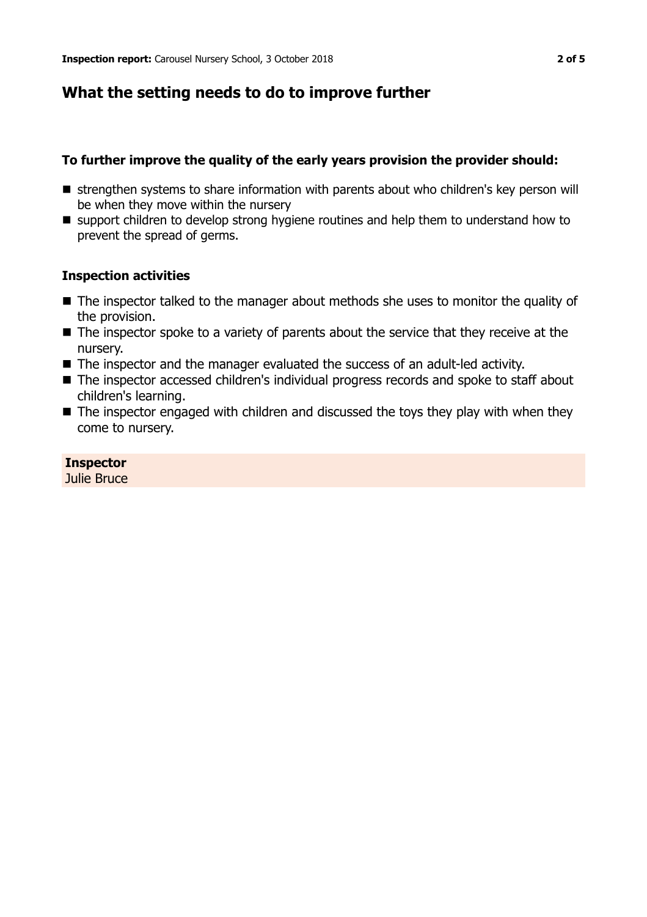## **What the setting needs to do to improve further**

#### **To further improve the quality of the early years provision the provider should:**

- strengthen systems to share information with parents about who children's key person will be when they move within the nursery
- support children to develop strong hygiene routines and help them to understand how to prevent the spread of germs.

#### **Inspection activities**

- $\blacksquare$  The inspector talked to the manager about methods she uses to monitor the quality of the provision.
- $\blacksquare$  The inspector spoke to a variety of parents about the service that they receive at the nursery.
- $\blacksquare$  The inspector and the manager evaluated the success of an adult-led activity.
- The inspector accessed children's individual progress records and spoke to staff about children's learning.
- $\blacksquare$  The inspector engaged with children and discussed the toys they play with when they come to nursery.

#### **Inspector**

Julie Bruce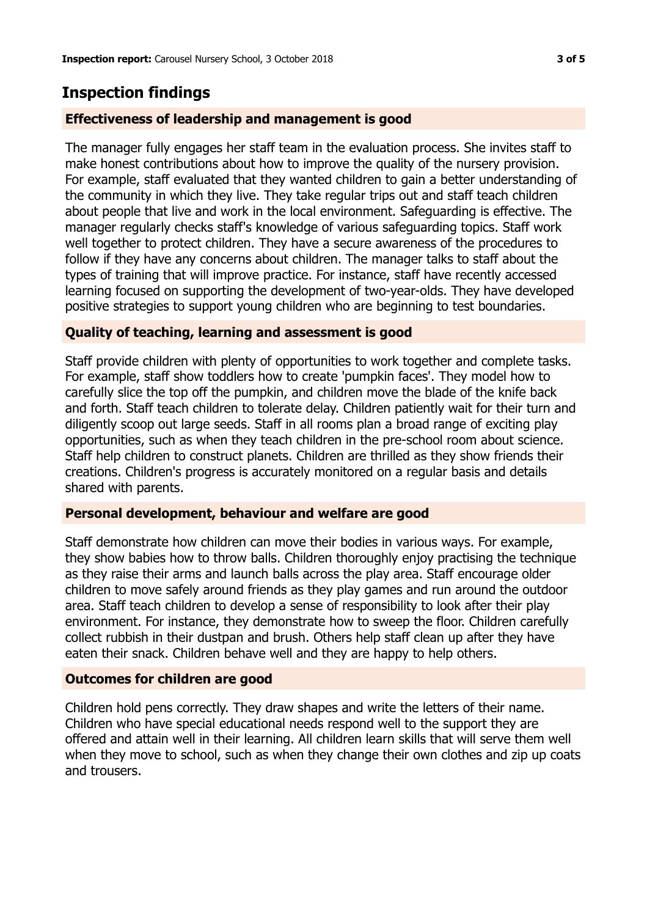# **Inspection findings**

#### **Effectiveness of leadership and management is good**

The manager fully engages her staff team in the evaluation process. She invites staff to make honest contributions about how to improve the quality of the nursery provision. For example, staff evaluated that they wanted children to gain a better understanding of the community in which they live. They take regular trips out and staff teach children about people that live and work in the local environment. Safeguarding is effective. The manager regularly checks staff's knowledge of various safeguarding topics. Staff work well together to protect children. They have a secure awareness of the procedures to follow if they have any concerns about children. The manager talks to staff about the types of training that will improve practice. For instance, staff have recently accessed learning focused on supporting the development of two-year-olds. They have developed positive strategies to support young children who are beginning to test boundaries.

#### **Quality of teaching, learning and assessment is good**

Staff provide children with plenty of opportunities to work together and complete tasks. For example, staff show toddlers how to create 'pumpkin faces'. They model how to carefully slice the top off the pumpkin, and children move the blade of the knife back and forth. Staff teach children to tolerate delay. Children patiently wait for their turn and diligently scoop out large seeds. Staff in all rooms plan a broad range of exciting play opportunities, such as when they teach children in the pre-school room about science. Staff help children to construct planets. Children are thrilled as they show friends their creations. Children's progress is accurately monitored on a regular basis and details shared with parents.

#### **Personal development, behaviour and welfare are good**

Staff demonstrate how children can move their bodies in various ways. For example, they show babies how to throw balls. Children thoroughly enjoy practising the technique as they raise their arms and launch balls across the play area. Staff encourage older children to move safely around friends as they play games and run around the outdoor area. Staff teach children to develop a sense of responsibility to look after their play environment. For instance, they demonstrate how to sweep the floor. Children carefully collect rubbish in their dustpan and brush. Others help staff clean up after they have eaten their snack. Children behave well and they are happy to help others.

#### **Outcomes for children are good**

Children hold pens correctly. They draw shapes and write the letters of their name. Children who have special educational needs respond well to the support they are offered and attain well in their learning. All children learn skills that will serve them well when they move to school, such as when they change their own clothes and zip up coats and trousers.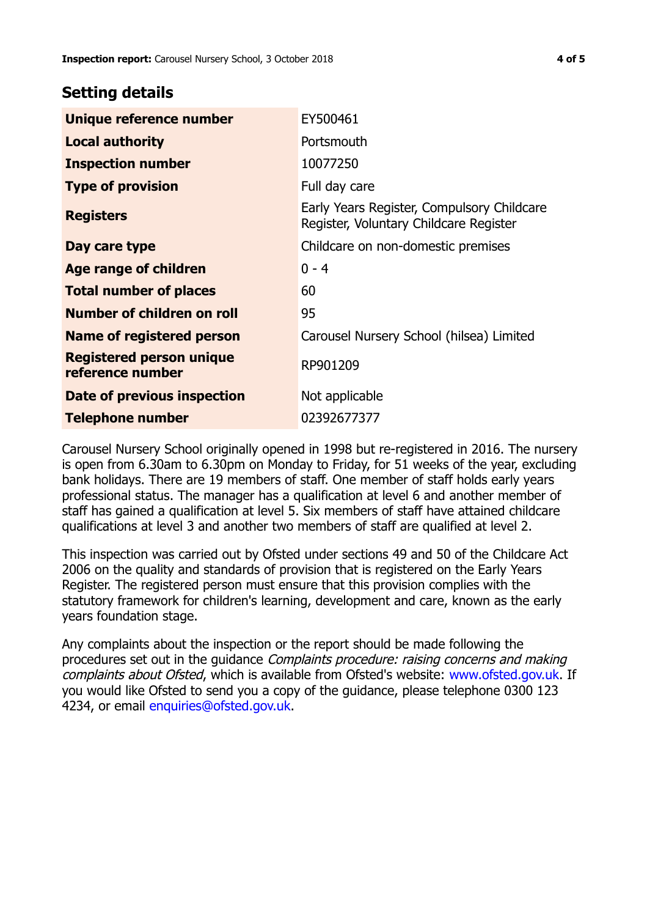## **Setting details**

| Unique reference number                             | EY500461                                                                             |  |
|-----------------------------------------------------|--------------------------------------------------------------------------------------|--|
| <b>Local authority</b>                              | Portsmouth                                                                           |  |
| <b>Inspection number</b>                            | 10077250                                                                             |  |
| <b>Type of provision</b>                            | Full day care                                                                        |  |
| <b>Registers</b>                                    | Early Years Register, Compulsory Childcare<br>Register, Voluntary Childcare Register |  |
| Day care type                                       | Childcare on non-domestic premises                                                   |  |
| Age range of children                               | $0 - 4$                                                                              |  |
| <b>Total number of places</b>                       | 60                                                                                   |  |
| Number of children on roll                          | 95                                                                                   |  |
| Name of registered person                           | Carousel Nursery School (hilsea) Limited                                             |  |
| <b>Registered person unique</b><br>reference number | RP901209                                                                             |  |
| <b>Date of previous inspection</b>                  | Not applicable                                                                       |  |
| <b>Telephone number</b>                             | 02392677377                                                                          |  |

Carousel Nursery School originally opened in 1998 but re-registered in 2016. The nursery is open from 6.30am to 6.30pm on Monday to Friday, for 51 weeks of the year, excluding bank holidays. There are 19 members of staff. One member of staff holds early years professional status. The manager has a qualification at level 6 and another member of staff has gained a qualification at level 5. Six members of staff have attained childcare qualifications at level 3 and another two members of staff are qualified at level 2.

This inspection was carried out by Ofsted under sections 49 and 50 of the Childcare Act 2006 on the quality and standards of provision that is registered on the Early Years Register. The registered person must ensure that this provision complies with the statutory framework for children's learning, development and care, known as the early years foundation stage.

Any complaints about the inspection or the report should be made following the procedures set out in the guidance Complaints procedure: raising concerns and making complaints about Ofsted, which is available from Ofsted's website: www.ofsted.gov.uk. If you would like Ofsted to send you a copy of the guidance, please telephone 0300 123 4234, or email [enquiries@ofsted.gov.uk.](mailto:enquiries@ofsted.gov.uk)